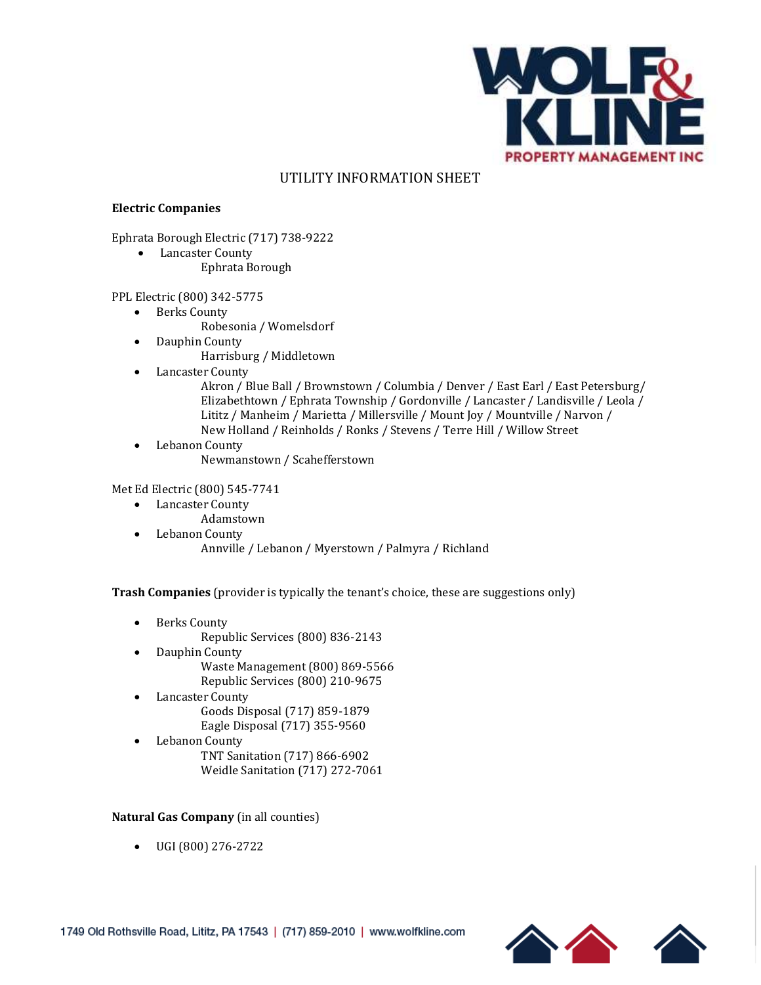

# UTILITY INFORMATION SHEET

## **Electric Companies**

Ephrata Borough Electric (717) 738-9222

• Lancaster County Ephrata Borough

#### PPL Electric (800) 342-5775

- Berks County
	- Robesonia / Womelsdorf
- Dauphin County
	- Harrisburg / Middletown
- Lancaster County
	- Akron / Blue Ball / Brownstown / Columbia / Denver / East Earl / East Petersburg/ Elizabethtown / Ephrata Township / Gordonville / Lancaster / Landisville / Leola / Lititz / Manheim / Marietta / Millersville / Mount Joy / Mountville / Narvon / New Holland / Reinholds / Ronks / Stevens / Terre Hill / Willow Street
- Lebanon County Newmanstown / Scahefferstown

### Met Ed Electric (800) 545-7741

- Lancaster County
	- Adamstown
- Lebanon County Annville / Lebanon / Myerstown / Palmyra / Richland

**Trash Companies** (provider is typically the tenant's choice, these are suggestions only)

- Berks County
	- Republic Services (800) 836-2143
- Dauphin County Waste Management (800) 869-5566
	- Republic Services (800) 210-9675
- Lancaster County Goods Disposal (717) 859-1879 Eagle Disposal (717) 355-9560
- Lebanon County
	- TNT Sanitation (717) 866-6902 Weidle Sanitation (717) 272-7061

## **Natural Gas Company** (in all counties)

• UGI (800) 276-2722